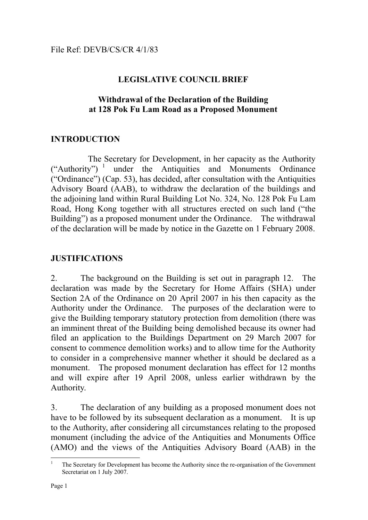## **LEGISLATIVE COUNCIL BRIEF**

#### **Withdrawal of the Declaration of the Building at 128 Pok Fu Lam Road as a Proposed Monument**

## **INTRODUCTION**

The Secretary for Development, in her capacity as the Authority<br>
("Authority")<sup>1</sup> under the Antiquities and Monuments Ordinance under the Antiquities and Monuments Ordinance ("Ordinance") (Cap. 53), has decided, after consultation with the Antiquities Advisory Board (AAB), to withdraw the declaration of the buildings and the adjoining land within Rural Building Lot No. 324, No. 128 Pok Fu Lam Road, Hong Kong together with all structures erected on such land ("the Building") as a proposed monument under the Ordinance. The withdrawal of the declaration will be made by notice in the Gazette on 1 February 2008.

#### **JUSTIFICATIONS**

2. The background on the Building is set out in paragraph 12. The declaration was made by the Secretary for Home Affairs (SHA) under Section 2A of the Ordinance on 20 April 2007 in his then capacity as the Authority under the Ordinance. The purposes of the declaration were to give the Building temporary statutory protection from demolition (there was an imminent threat of the Building being demolished because its owner had filed an application to the Buildings Department on 29 March 2007 for consent to commence demolition works) and to allow time for the Authority to consider in a comprehensive manner whether it should be declared as a monument. The proposed monument declaration has effect for 12 months and will expire after 19 April 2008, unless earlier withdrawn by the Authority.

3. The declaration of any building as a proposed monument does not have to be followed by its subsequent declaration as a monument. It is up to the Authority, after considering all circumstances relating to the proposed monument (including the advice of the Antiquities and Monuments Office (AMO) and the views of the Antiquities Advisory Board (AAB) in the

 $\overline{a}$ 1 The Secretary for Development has become the Authority since the re-organisation of the Government Secretariat on 1 July 2007.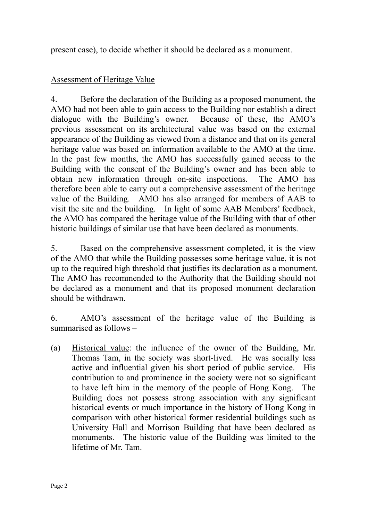present case), to decide whether it should be declared as a monument.

# Assessment of Heritage Value

4. Before the declaration of the Building as a proposed monument, the AMO had not been able to gain access to the Building nor establish a direct dialogue with the Building's owner. Because of these, the AMO's previous assessment on its architectural value was based on the external appearance of the Building as viewed from a distance and that on its general heritage value was based on information available to the AMO at the time. In the past few months, the AMO has successfully gained access to the Building with the consent of the Building's owner and has been able to obtain new information through on-site inspections. The AMO has therefore been able to carry out a comprehensive assessment of the heritage value of the Building. AMO has also arranged for members of AAB to visit the site and the building. In light of some AAB Members' feedback, the AMO has compared the heritage value of the Building with that of other historic buildings of similar use that have been declared as monuments.

5. Based on the comprehensive assessment completed, it is the view of the AMO that while the Building possesses some heritage value, it is not up to the required high threshold that justifies its declaration as a monument. The AMO has recommended to the Authority that the Building should not be declared as a monument and that its proposed monument declaration should be withdrawn.

6. AMO's assessment of the heritage value of the Building is summarised as follows –

(a) Historical value: the influence of the owner of the Building, Mr. Thomas Tam, in the society was short-lived. He was socially less active and influential given his short period of public service. His contribution to and prominence in the society were not so significant to have left him in the memory of the people of Hong Kong. The Building does not possess strong association with any significant historical events or much importance in the history of Hong Kong in comparison with other historical former residential buildings such as University Hall and Morrison Building that have been declared as monuments. The historic value of the Building was limited to the lifetime of Mr. Tam.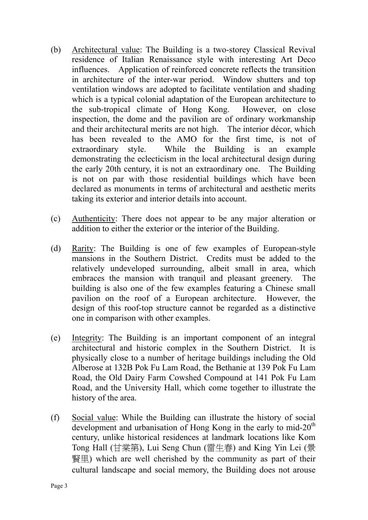- (b) Architectural value: The Building is a two-storey Classical Revival residence of Italian Renaissance style with interesting Art Deco influences. Application of reinforced concrete reflects the transition in architecture of the inter-war period. Window shutters and top ventilation windows are adopted to facilitate ventilation and shading which is a typical colonial adaptation of the European architecture to the sub-tropical climate of Hong Kong. However, on close inspection, the dome and the pavilion are of ordinary workmanship and their architectural merits are not high. The interior décor, which has been revealed to the AMO for the first time, is not of extraordinary style. While the Building is an example demonstrating the eclecticism in the local architectural design during the early 20th century, it is not an extraordinary one. The Building is not on par with those residential buildings which have been declared as monuments in terms of architectural and aesthetic merits taking its exterior and interior details into account.
- (c) Authenticity: There does not appear to be any major alteration or addition to either the exterior or the interior of the Building.
- (d) Rarity: The Building is one of few examples of European-style mansions in the Southern District. Credits must be added to the relatively undeveloped surrounding, albeit small in area, which embraces the mansion with tranquil and pleasant greenery. The building is also one of the few examples featuring a Chinese small pavilion on the roof of a European architecture. However, the design of this roof-top structure cannot be regarded as a distinctive one in comparison with other examples.
- (e) Integrity: The Building is an important component of an integral architectural and historic complex in the Southern District. It is physically close to a number of heritage buildings including the Old Alberose at 132B Pok Fu Lam Road, the Bethanie at 139 Pok Fu Lam Road, the Old Dairy Farm Cowshed Compound at 141 Pok Fu Lam Road, and the University Hall, which come together to illustrate the history of the area.
- (f) Social value: While the Building can illustrate the history of social development and urbanisation of Hong Kong in the early to mid- $20<sup>th</sup>$ century, unlike historical residences at landmark locations like Kom Tong Hall (甘棠第), Lui Seng Chun (雷生春) and King Yin Lei (景 賢里) which are well cherished by the community as part of their cultural landscape and social memory, the Building does not arouse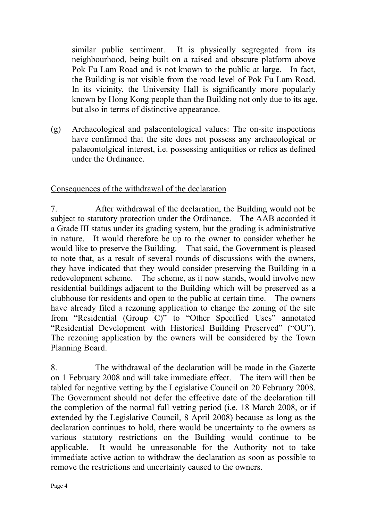similar public sentiment. It is physically segregated from its neighbourhood, being built on a raised and obscure platform above Pok Fu Lam Road and is not known to the public at large. In fact, the Building is not visible from the road level of Pok Fu Lam Road. In its vicinity, the University Hall is significantly more popularly known by Hong Kong people than the Building not only due to its age, but also in terms of distinctive appearance.

(g) Archaeological and palaeontological values: The on-site inspections have confirmed that the site does not possess any archaeological or palaeontolgical interest, i.e. possessing antiquities or relics as defined under the Ordinance.

## Consequences of the withdrawal of the declaration

7. After withdrawal of the declaration, the Building would not be subject to statutory protection under the Ordinance. The AAB accorded it a Grade III status under its grading system, but the grading is administrative in nature. It would therefore be up to the owner to consider whether he would like to preserve the Building. That said, the Government is pleased to note that, as a result of several rounds of discussions with the owners, they have indicated that they would consider preserving the Building in a redevelopment scheme. The scheme, as it now stands, would involve new residential buildings adjacent to the Building which will be preserved as a clubhouse for residents and open to the public at certain time. The owners have already filed a rezoning application to change the zoning of the site from "Residential (Group C)" to "Other Specified Uses" annotated "Residential Development with Historical Building Preserved" ("OU"). The rezoning application by the owners will be considered by the Town Planning Board.

8. The withdrawal of the declaration will be made in the Gazette on 1 February 2008 and will take immediate effect. The item will then be tabled for negative vetting by the Legislative Council on 20 February 2008. The Government should not defer the effective date of the declaration till the completion of the normal full vetting period (i.e. 18 March 2008, or if extended by the Legislative Council, 8 April 2008) because as long as the declaration continues to hold, there would be uncertainty to the owners as various statutory restrictions on the Building would continue to be applicable. It would be unreasonable for the Authority not to take immediate active action to withdraw the declaration as soon as possible to remove the restrictions and uncertainty caused to the owners.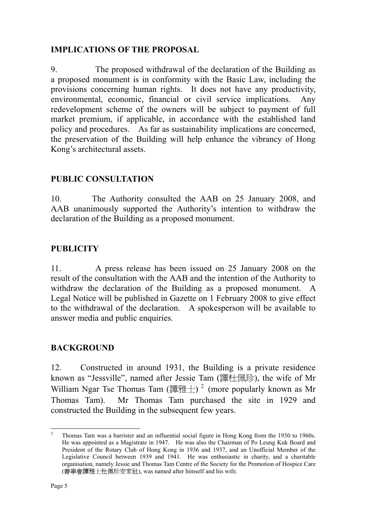## **IMPLICATIONS OF THE PROPOSAL**

9. The proposed withdrawal of the declaration of the Building as a proposed monument is in conformity with the Basic Law, including the provisions concerning human rights. It does not have any productivity, environmental, economic, financial or civil service implications. Any redevelopment scheme of the owners will be subject to payment of full market premium, if applicable, in accordance with the established land policy and procedures. As far as sustainability implications are concerned, the preservation of the Building will help enhance the vibrancy of Hong Kong's architectural assets.

# **PUBLIC CONSULTATION**

10. The Authority consulted the AAB on 25 January 2008, and AAB unanimously supported the Authority's intention to withdraw the declaration of the Building as a proposed monument.

## **PUBLICITY**

11. A press release has been issued on 25 January 2008 on the result of the consultation with the AAB and the intention of the Authority to withdraw the declaration of the Building as a proposed monument. A Legal Notice will be published in Gazette on 1 February 2008 to give effect to the withdrawal of the declaration. A spokesperson will be available to answer media and public enquiries.

# **BACKGROUND**

12. Constructed in around 1931, the Building is a private residence known as "Jessville", named after Jessie Tam (譚杜佩珍), the wife of Mr William Ngar Tse Thomas Tam (譚雅士)<sup>2</sup> (more popularly known as Mr Thomas Tam). Mr Thomas Tam purchased the site in 1929 and constructed the Building in the subsequent few years.

 $\frac{1}{2}$  Thomas Tam was a barrister and an influential social figure in Hong Kong from the 1930 to 1960s. He was appointed as a Magistrate in 1947. He was also the Chairman of Po Leung Kuk Board and President of the Rotary Club of Hong Kong in 1936 and 1937, and an Unofficial Member of the Legislative Council between 1939 and 1941. He was enthusiastic in charity, and a charitable organisation, namely Jessie and Thomas Tam Centre of the Society for the Promotion of Hospice Care (善寧會譚雅士杜佩珍安家社), was named after himself and his wife.